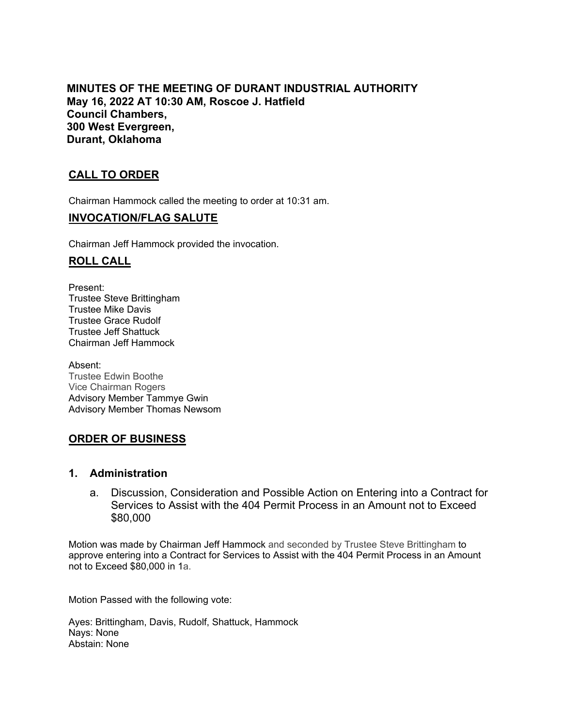**MINUTES OF THE MEETING OF DURANT INDUSTRIAL AUTHORITY May 16, 2022 AT 10:30 AM, Roscoe J. Hatfield Council Chambers, 300 West Evergreen, Durant, Oklahoma**

# **CALL TO ORDER**

Chairman Hammock called the meeting to order at 10:31 am.

#### **INVOCATION/FLAG SALUTE**

Chairman Jeff Hammock provided the invocation.

#### **ROLL CALL**

Present: Trustee Steve Brittingham Trustee Mike Davis Trustee Grace Rudolf Trustee Jeff Shattuck Chairman Jeff Hammock

Absent: Trustee Edwin Boothe Vice Chairman Rogers Advisory Member Tammye Gwin Advisory Member Thomas Newsom

## **ORDER OF BUSINESS**

#### **1. Administration**

a. Discussion, Consideration and Possible Action on Entering into a Contract for Services to Assist with the 404 Permit Process in an Amount not to Exceed \$80,000

Motion was made by Chairman Jeff Hammock and seconded by Trustee Steve Brittingham to approve entering into a Contract for Services to Assist with the 404 Permit Process in an Amount not to Exceed \$80,000 in 1a.

Motion Passed with the following vote:

Ayes: Brittingham, Davis, Rudolf, Shattuck, Hammock Nays: None Abstain: None